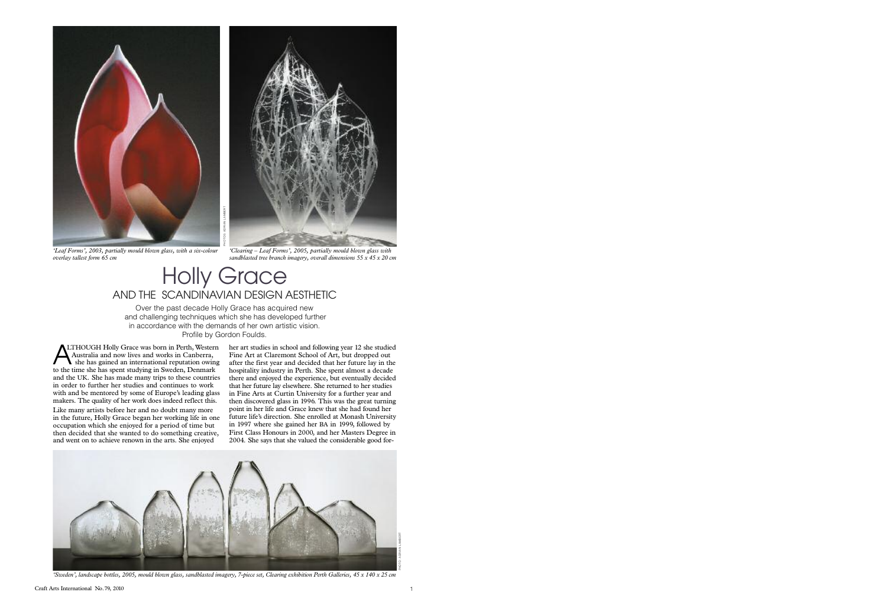Over the past decade Holly Grace has acquired new and challenging techniques which she has developed further in accordance with the demands of her own artistic vision. Profile by Gordon Foulds.

**ALTHOUGH Holly Grace was born in Perth, Wester Australia and now lives and works in Canberra,** she has gained an international reputation owint to the time she has spent studying in Sweden, Denmark Australia and now lives and works in Canberra, she has gained an international reputation owing and the UK. She has made many trips to these countries in order to further her studies and continues to work with and be mentored by some of Europe's leading glass makers. The quality of her work does indeed reflect this.

Like many artists before her and no doubt many more in the future, Holly Grace began her working life in one occupation which she enjoyed for a period of time but then decided that she wanted to do something creative, and went on to achieve renown in the arts. She enjoyed



*'Clearing – Leaf Forms', 2005, partially mould blown glass with sandblasted tree branch imagery, overall dimensions 55 x 45 x 20 cm*

LTHOUGH Holly Grace was born in Perth, Western her art studies in school and following year 12 she studied Fine Art at Claremont School of Art, but dropped out after the first year and decided that her future lay in the hospitality industry in Perth. She spent almost a decade there and enjoyed the experience, but eventually decided that her future lay elsewhere. She returned to her studies in Fine Arts at Curtin University for a further year and then discovered glass in 1996. This was the great turning point in her life and Grace knew that she had found her future life's direction. She enrolled at Monash University in 1997 where she gained her BA in 1999, followed by First Class Honours in 2000, and her Masters Degree in 2004. She says that she valued the considerable good for-



'Sweden', landscape bottles, 2005, mould blown glass, sandblasted imagery, 7-piece set, Clearing exhibition Perth Galleries, 45 x 140 x 25 cm



*'Leaf Forms', 2003, partially mould blown glass, with a six-colour overlay tallest form 65 cm*

## Holly Grace AND THE SCANDINAVIAN DESIGN AESTHETIC

PHOTO: ADRIAN LAMBERT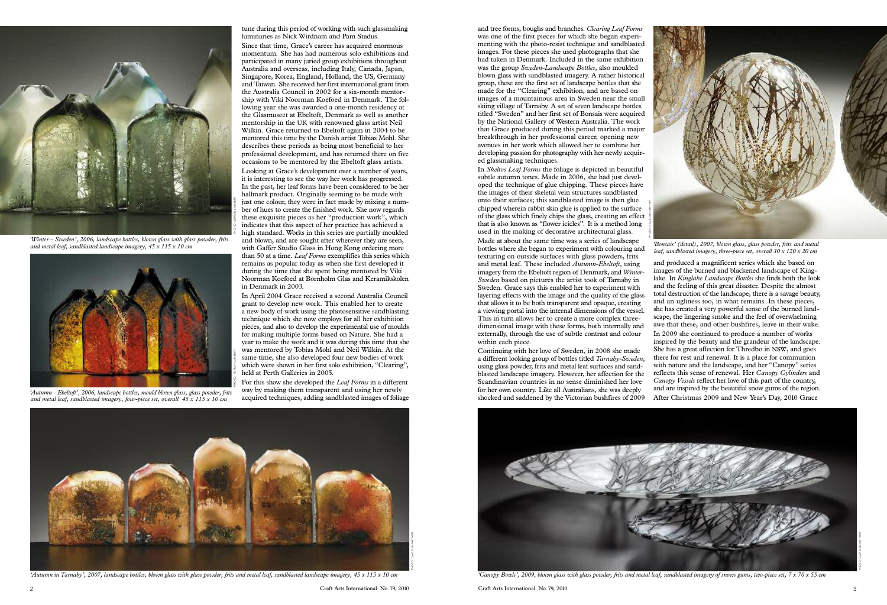tune during this period of working with such glassmaking luminaries as Nick Wirdnam and Pam Stadus.

Since that time, Grace's career has acquired enormous momentum. She has had numerous solo exhibitions and participated in many juried group exhibitions throughout Australia and overseas, including Italy, Canada, Japan, Singapore, Korea, England, Holland, the US, Germany and Taiwan. She received her first international grant from the Australia Council in 2002 for a six-month mentorship with Viki Noorman Koefoed in Denmark. The following year she was awarded a one-month residency at the Glasmuseet at Ebeltoft, Denmark as well as another mentorship in the UK with renowned glass artist Neil Wilkin. Grace returned to Ebeltoft again in 2004 to be mentored this time by the Danish artist Tobias Mohl. She describes these periods as being most beneficial to her professional development, and has returned there on five occasions to be mentored by the Ebeltoft glass artists.

Looking at Grace's development over a number of years, it is interesting to see the way her work has progressed. In the past, her leaf forms have been considered to be her hallmark product. Originally seeming to be made with just one colour, they were in fact made by mixing a number of hues to create the finished work. She now regards these exquisite pieces as her "production work", which indicates that this aspect of her practice has achieved a high standard. Works in this series are partially moulded and blown, and are sought after wherever they are seen, with Gaffer Studio Glass in Hong Kong ordering more than 50 at a time. *Leaf Forms* exemplifies this series which remains as popular today as when she first developed it during the time that she spent being mentored by Viki Noorman Koefoed at Bornholm Glas and Keramikskolen in Denmark in 2003.

In April 2004 Grace received a second Australia Council grant to develop new work. This enabled her to create a new body of work using the photosensitive sandblasting technique which she now employs for all her exhibition pieces, and also to develop the experimental use of moulds for making multiple forms based on Nature. She had a year to make the work and it was during this time that she was mentored by Tobias Mohl and Neil Wilkin. At the same time, she also developed four new bodies of work which were shown in her first solo exhibition, "Clearing", held at Perth Galleries in 2005.

For this show she developed the *Leaf Forms* in a different way by making them transparent and using her newly acquired techniques, adding sandblasted images of foliage



and tree forms, boughs and branches. *Clearing Leaf Forms* was one of the first pieces for which she began experimenting with the photo-resist technique and sandblasted images. For these pieces she used photographs that she had taken in Denmark. Included in the same exhibition was the group *Sweden-Landscape Bottles*, also moulded blown glass with sandblasted imagery. A rather historical group, these are the first set of landscape bottles that she made for the "Clearing" exhibition, and are based on images of a mountainous area in Sweden near the small skiing village of Tarnaby. A set of seven landscape bottles titled "Sweden" and her first set of Bonsais were acquired by the National Gallery of Western Australia. The work that Grace produced during this period marked a major breakthrough in her professional career, opening new avenues in her work which allowed her to combine her developing passion for photography with her newly acquired glassmaking techniques.

In *Skeltos Leaf Forms* the foliage is depicted in beautiful subtle autumn tones. Made in 2006, she had just developed the technique of glue chipping. These pieces have the images of their skeletal vein structures sandblasted onto their surfaces; this sandblasted image is then glue chipped wherein rabbit skin glue is applied to the surface of the glass which finely chips the glass, creating an effect that is also known as "flower icicles". It is a method long used in the making of decorative architectural glass.

Scandinavian countries in no sense diminished her love for her own country. Like all Australians, she was deeply shocked and saddened by the Victorian bushfires of 2009



Made at about the same time was a series of landscape bottles where she began to experiment with colouring and texturing on outside surfaces with glass powders, frits and metal leaf. These included *Autumn-Ebeltoft,* using imagery from the Ebeltoft region of Denmark, and *Winter-Sweden* based on pictures the artist took of Tarnaby in Sweden. Grace says this enabled her to experiment with layering effects with the image and the quality of the glass that allows it to be both transparent and opaque, creating a viewing portal into the internal dimensions of the vessel. This in turn allows her to create a more complex threedimensional image with these forms, both internally and externally, through the use of subtle contrast and colour within each piece. Continuing with her love of Sweden, in 2008 she made a different looking group of bottles titled *Tarnaby-Sweden*, using glass powder, frits and metal leaf surfaces and sandblasted landscape imagery. However, her affection for the and produced a magnificent series which she based on images of the burned and blackened landscape of Kinglake. In *Kinglake Landscape Bottles* she finds both the look and the feeling of this great disaster. Despite the almost total destruction of the landscape, there is a savage beauty, and an ugliness too, in what remains. In these pieces, she has created a very powerful sense of the burned landscape, the lingering smoke and the feel of overwhelming awe that these, and other bushfires, leave in their wake. In 2009 she continued to produce a number of works inspired by the beauty and the grandeur of the landscape. She has a great affection for Thredbo in NSW, and goes there for rest and renewal. It is a place for communion with nature and the landscape, and her "Canopy" series reflects this sense of renewal. Her *Canopy Cylinders* and *Canopy Vessels* reflect her love of this part of the country, *'Bonsais' (detail), 2007, blown glass, glass powder, frits and metal leaf, sandblasted imagery, three-piece set, overall 30 x 120 x 20 cm* PHOTO: DAVID McARTHUR

and are inspired by the beautiful snow gums of the region. After Christmas 2009 and New Year's Day, 2010 Grace



*'Winter – Sweden', 2006, landscape bottles, blown glass with glass powder, frits and metal leaf, sandblasted landscape imagery, 45 x 115 x 10 cm*



*'Autumn – Ebeltoft', 2006, landscape bottles, mould blown glass, glass powder, frits and metal leaf, sandblasted imagery, four-piece set, overall 45 x 115 x 10 cm*

PHOTO: ADRIAN LAMBERT

'Autumn in Tarnaby', 2007, landscape bottles, blown glass with glass powder, frits and metal leaf, sandblasted landscape imagery, 45 x 115 x 10 cm canopy Bowls', 2009, blown glass with glass powder, frits and head leaf, sa

PHOTO: DAVID McARTHUR